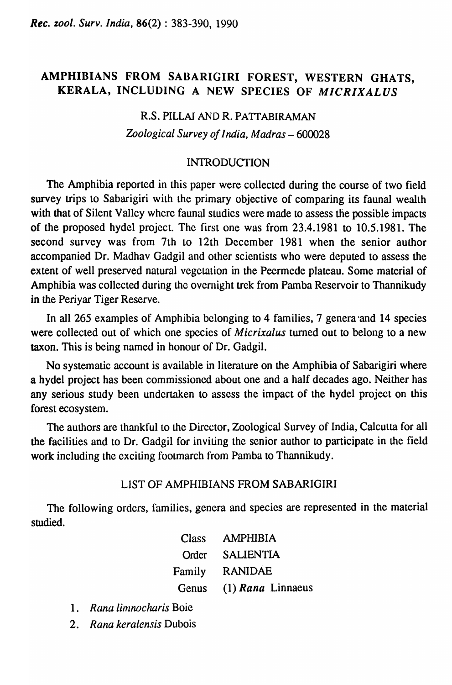# AMPHIBIANS FROM SABARIGIRI FOREST, WESTERN GHATS, KERALA, INCLUDING A NEW SPECIES OF *MICRIXALUS*

# R.S. PILLAI AND R. PATTABIRAMAN *Zoological Survey of India, Madras* - 600028

### **INTRODUCTION**

The Amphibia reported in this paper were collected during the course of two field survey trips to Sabarigiri with the primary objective of comparing its faunal wealth with that of Silent Valley where faunal studies were made to assess the possible impacts of the proposed hydel project. The first one was from 23.4.1981 to 10.5.1981. The second survey was from 7th to 12th December 1981 when the senior author accompanied Dr. Madhav Gadgil and other scientists who were deputed to assess the extent of well preserved natural vegetation in the Peermede plateau. Some material of Amphibia was collected during the overnight trek from Pamba Reservoir to Thannikudy in the Periyar Tiger Reserve.

In all 265 examples of Amphibia belonging to 4 families, 7 genera 'and 14 species were collected out of which one species of *Micrixalus* turned out to belong to a new taxon. This is being named in honour of Dr. Gadgil.

No systematic account is available in literature on the Amphibia of Sabarigiri where a hydel project has been commissioned about one and a half decades ago. Neither has any serious study been undertaken to assess the impact of the hydel project on this forest ecosystem.

The authors are thankful to the Director, Zoological Survey of India, Calcutta for all the facilities and to Dr. Gadgil for inviting the senior author to participate in the field work including the exciting footmarch from Pamba to Thannikudy.

### LIST OF AMPHIBIANS FROM SABARIGIRI

The following ordcrs, families, genera and specics are represented in the material studied.

|        | Class AMPHIBIA          |
|--------|-------------------------|
|        | Order SALIENTIA         |
| Family | <b>RANIDAE</b>          |
|        | Genus (1) Rana Linnaeus |

- 1. Rana limnocharis Boie
- *2. Rana keralensis* Dubois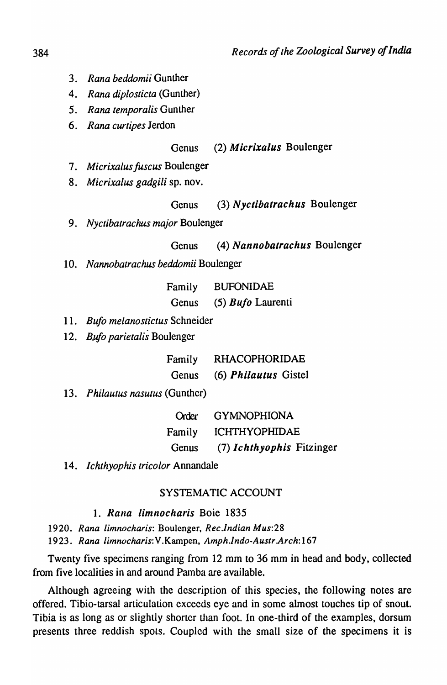- *3. Rana beddomii* Gunther
- 4. Rana diplosticta (Gunther)
- *5. Rana temporalis* Gunther
- *6. Rana eurtipes* lerdon

## Genus (2) Micrixalus Boulenger

- *7. M icrixalus fuscus* Boulenger
- *8. Micrixalus gadgili* sp. nov.

## Genus (3) Nyctibatrachus Boulenger

*9. Nyctibatraehus major* Boulenger

## Genus (4) Nannobatrachus Boulenger

10. *Nannobatrachus beddomii* Boulenger

| Family | <b>BUFONIDAE</b>           |  |  |  |
|--------|----------------------------|--|--|--|
| Genus  | $(5)$ <i>Bufo</i> Laurenti |  |  |  |

- 11. *Bufo melanostictus* Schneider
- 12. *Bufo parietalis* Boulenger

| Family | <b>RHACOPHORIDAE</b>        |  |  |  |  |  |
|--------|-----------------------------|--|--|--|--|--|
| Genus  | (6) <i>Philautus</i> Gistel |  |  |  |  |  |

13. *Phi/autus nasutus* (Gunther)

| Order | <b>GYMNOPHIONA</b>        |
|-------|---------------------------|
|       | Family ICHTHYOPHIDAE      |
| Genus | (7) Ichthyophis Fitzinger |

14. *Iehthyophis tricolor* Annandale

# SYSTEMATIC ACCOUNT

- 1. Rana limnocharis Boie 1835
- *1920. Rana limnocharis:* Boulcnger, *Rec.indian Mus:28*

*1923. Rana limnocharis:V.Kampen, Amph.lndo-Auslr.Arch:167* 

Twenty five specimens ranging from 12 mm to 36 mm in head and body, collected from five localities in and around Pamba are available.

Although agreeing with the description of this species, the following notes are offered. Tibio-tarsal articulation exceeds eye and in some almost touches tip of snout. Tibia is as long as or slightly shorter than foot. In one-third of the examples, dorsum presents three reddish spots. Coupled with the small size of the specimens it is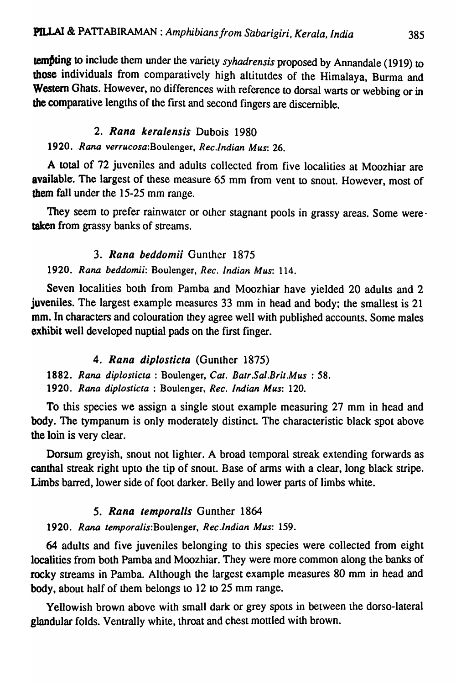tempting to include them under the variety *syhadrensis* proposed by Annandale (1919) to those individuals from comparatively high altitutdes of the Himalaya, Burma and Western Ghats. However, no differences with reference to dorsal warts or webbing or in the comparative lengths of the first and second fingers are discernible.

## 2. Rana keralensis Dubois 1980

*1920 .. Rana verrucosa:Boulenger. Rec.Jndian Mus: 26.* 

A total of 72 juveniles and adults collected from five localities at Moozhiar are available. The largest of these measure 65 mm from vent to snout. However, most of them fall under the 15-25 mm range.

They seem to prefer rainwater or other stagnant pools in grassy areas. Some were · taken from grassy banks of streams.

## *3.* Rana *beddomii* Gunther 1875

## *1920. Rana beddomii:* Boulenger. *Rec. Indian Mus:* 114.

Seven localities both from Pamba and Moozhiar have yielded 20 adults and 2 juveniles. The largest example measures 33 mm in head and body; the smallest is 21 mm. In characters and colouration they agree well with published accounts. Some males exhibit well developed nuptial pads on the first finger.

# *4.* Rana *diploslicla* (Gunther 1875)

1882. *Rana diplosticta* : Boulenger, *Cal. Batr.Sal.Brit.Mus* : 58. *1920. Rana diplosticta* : Boulenger, *Rec. Indian Mus:* 120.

To this species we assign a single stout example measuring 27 mm in head and body. The tympanum is only moderately distinct. The characteristic black spot above the loin is very clear.

Dorsum greyish, snout not lighter. A broad temporal streak extending forwards as canthal streak right upto the tip of snout. Base of arms with a clear, long black stripe. Limbs barred, lower side of foot darker. Belly and lower parts of limbs white.

# **5. Rana temporalis Gunther 1864**

# *1920. Rana temporalis:Boulenger, Rec.lndian Mus: 159.*

64 adults and five juveniles belonging to this species were collected from eight localities from both Pamba and Moozhiar. They were more common along the banks of rocky streams in Pamba. Although the largest example measures 80 mm in head and body, about half of them belongs to 12 to 25 mm range.

Yellowish brown above with small dark or grey spots in between the dorso-Iateral glandular folds. Ventrally white, throat and chest mottled with brown.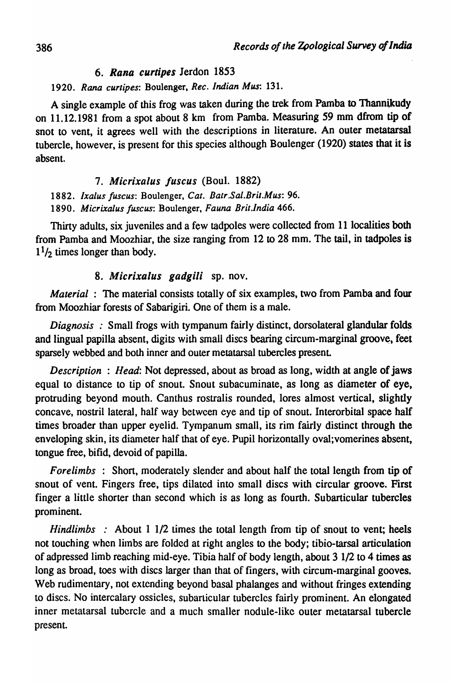### *6. Rana curtipes* Jerdon 1853

#### 1920. Rana curtipes: Boulenger, *Rec. Indian Mus*: 131.

A single example of this frog was taken during the trek from Pamba to Thannikudy on 11.12.1981 from a spot about 8 km from Pamba. Measuring 59 mm dfrom tip of snot to vent, it agrees well with the descriptions in literature. An outer metatarsal tubercle, however, is present for this species although Boulenger (1920) states that it is absent.

### *7. Mierixalus fuseus* (Boul. 1882)

*1882. Ixalus fuscus:* Boulenger, *Cal. Balr.Sal.Brit.Mus: 96.* 

*1890. Micrixalus fuscus:* Boulenger, *Fauna Brit.lndia 466.* 

Thirty adults, six juveniles and a few tadpoles were collected from 11 localities both from Pamba and Moozhiar, the size ranging from 12 to 28 mm. The tail, in tadpoles is  $1<sup>1</sup>/2$  times longer than body.

### *8. Mierixalus gadgili* sp. nov.

*Material* : The material consists totally of six examples, two from Pamba and four from Moozhiar forests of Sabarigiri. One of them is a male.

 $Diagonosis$ : Small frogs with tympanum fairly distinct, dorsolateral glandular folds. and lingual papilla absent, digits with small discs bearing circum-marginal groove, feet sparsely webbed and both inner and outer metatarsal tubercles present.

*Description* : *Head:* Not depressed, about as broad as long, width at angle of jaws equal to distance to tip of snout. Snout subacuminate, as long as diameter of eye, protruding beyond mouth. Canthus rostralis rounded, lores almost vertical, slightly concave, nostril lateral, half way between eye and tip of snout. Interorbital space half times broader than upper eyelid. Tympanum small, its rim fairly distinct through the enveloping skin, its diameter half that of eye. Pupil horizontally oval;vomerines absent, tongue free, bifid, devoid of papilla.

*Forelimbs* : Short, moderately slender and about half the total length from tip of snout of vent. Fingers free, tips dilated into small discs with circular groove. First finger a little shorter than second which is as long as fourth. Subarticular tubercles prominent.

*Hindlimbs* : About 1 1/2 times the total length from tip of snout to vent; heels not touching when limbs are folded at right angles to the body; tibio-tarsal articulation of adpressed limb reaching mid-eye. Tibia half of body length, about 3 1/2 to 4 times as long as broad, toes with discs larger than that of fingers, with circum-marginal gooves. Web rudimentary, not extending beyond basal phalanges and without fringes extending to discs. No intercalary ossicles, subarticular tubercles fairly prominent. An elongated inner metatarsal tubercle and a much smaller nodule-like outer metatarsal tubercle present.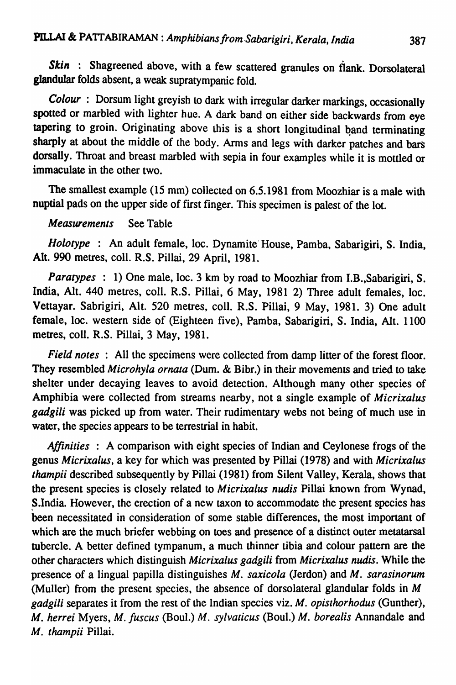Skin : Shagreened above, with a few scattered granules on flank. Dorsolateral glandular folds absent, a weak supratympanic fold.

*Colour* : Dorsum light greyish to dark with irregular darker markings, occasionally spotted or marbled with lighter hue. A dark band on either side backwards from eye tapering to groin. Originating above this is a short longitudinal band terminating sharply at about the middle of the body. Arms and legs with darker patches and bars dorsally. Throat and breast marbled with sepia in four examples while it is mottled or immaculate in the other two.

The smallest example (15 mm) collected on 6.5.1981 from Moozhiar is a male with nuptial pads on the upper side of first finger. This specimen is palest of the lot.

### *Measurements* See Table

*Holotype* : An adult female, loc. Dynamite' House, Pamba, Sabarigiri, S. India, Alt. 990 metres, coli. R.S. Pillai, 29 April, 1981.

*Paratypes* : 1) One male, loc. 3 km by road to Moozhiar from I.B., Sabarigiri, S. India, Alt. 440 metres, coll. R.S. Pillai, 6 May, 1981 2) Three adult females, loc. Vettayar. Sabrigiri, Alt. 520 metres, call. R.S. Pillai, 9 May, 1981. 3) One adult female, loc. western side of (Eighteen five), Pamba, Sabarigiri, S. India, Alt. 1100 metres, colI. R.S. Pillai, 3 May, 1981.

*Field notes* : All the specimens were collected from damp litter of the forest floor. They resembled *Microhyla ornata* (Dum. & Bibr.) in their movements and tried to take shelter under decaying leaves to avoid detection. Although many other species of Amphibia were collected from streams nearby, not a single example of *Micrixalus gadgili* was picked up from water. Their rudimentary webs not being of much use in water, the species appears to be terrestrial in habit.

*Affinilies* : A comparison with eight species of Indian and Ceylonese frogs of the genus *Micrixalus.* a key for which was presented by Pillai (1978) and with *Micrixalus thampii* described subsequently by Pillai (1981) from Silent Valley, Kerala, shows that the present species is closely related to *Micrixalus nudis* Pillai known from Wynad, S.India. However, the erection of a new taxon to accommodate the present species has been necessitated in consideration of some stable differences, the most important of which are the much briefer webbing on toes and presence of a distinct outer metatarsal tubercle. A better defined tympanum, a much thinner tibia and colour pattern are the other characters which distinguish *Mierixalus gadgili* from *Mierixalus nudist* While the presence of a lingual papilla distinguishes *M. saxicola* (Jerdon) and *M. sarasinorum*  (Muller) from the present species, the absence of dorsolateral glandular folds in *M gadgili* separates it from the rest of the Indian species viz. *M. Opislhorhodus* (Gunther), *M. herrei* Myers, *M. fuscus* (Boul.) *M. sylvaticus* (Boul.) *M. borealis* Annandale and *M. thampii Pillai.*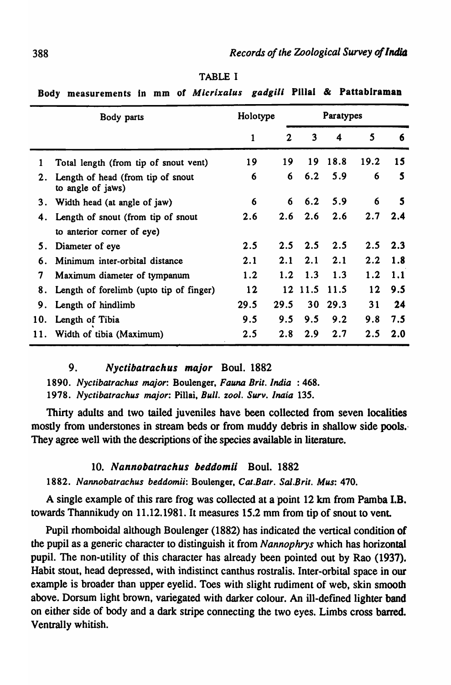| <u>naa i</u><br>measurements in min<br><b>VI HAPPITMWFW</b> |              |              |                         |      |                 |     |  |  |  |  |
|-------------------------------------------------------------|--------------|--------------|-------------------------|------|-----------------|-----|--|--|--|--|
| Body parts                                                  |              |              | Paratypes               |      |                 |     |  |  |  |  |
|                                                             | $\mathbf{1}$ | $\mathbf{2}$ | $\overline{\mathbf{3}}$ | 4    | $5\phantom{.0}$ | 6   |  |  |  |  |
| Total length (from tip of snout vent)                       | 19           | 19           | 19                      | 18.8 | 19.2            | 15  |  |  |  |  |
| Length of head (from tip of snout<br>to angle of jaws)      | 6            | 6            | 6.2                     | 5.9  | 6               | 5   |  |  |  |  |
| Width head (at angle of jaw)                                | 6            | 6            | 6.2                     | 5.9  | 6               | 5   |  |  |  |  |
| Length of snout (from tip of snout<br>4.                    |              | 2.6          | 2.6                     | 2.6  | 2.7             | 2.4 |  |  |  |  |
| to anterior corner of eye)                                  |              |              |                         |      |                 |     |  |  |  |  |
| Diameter of eye                                             | 2.5          | 2.5          | 2.5                     | 2.5  | 2.5             | 2.3 |  |  |  |  |
| Minimum inter-orbital distance                              | 2.1          | 2.1          | 2.1                     | 2.1  | 2.2             | 1.8 |  |  |  |  |
| Maximum diameter of tympanum                                | 1.2          | 1.2          | 1.3                     | 1.3  | 1.2             | 1.1 |  |  |  |  |
| Length of forelimb (upto tip of finger)                     | 12           | 12           | 11.5                    | 11.5 | $12 \,$         | 9.5 |  |  |  |  |
| Length of hindlimb                                          | 29.5         | 29.5         | 30                      | 29.3 | 31              | 24  |  |  |  |  |
| Length of Tibia                                             | 9.5          | 9.5          | 9.5                     | 9.2  | 9.8             | 7.5 |  |  |  |  |
| Width of tibia (Maximum)                                    | 2.5          | 2.8          | 2.9                     | 2.7  | 2.5             | 2.0 |  |  |  |  |
|                                                             |              | 2.6          | Holotype                |      |                 |     |  |  |  |  |

TABLE I

Body measurements in mm of *Micrixalus gadgili* Pillai & Pattabiraman

### 9. Nyctibatrachus major Boul. 1882

*1890. Nyclibalrachus major:* Boulenger, *Fauna Brit. India* : 468. 1978. Nyctibatrachus major: Pillai, Bull. zool. Surv. Inaia 135.

Thirty adults and two tailed juveniles have been collected from seven localities mostly from understones in stream beds or from muddy debris in shallow side pools. <sup>&</sup>lt; They agree well with the descriptions of the species available in literature.

### 10. Nannobatrachus beddomii Boul. 1882

*1882. Nannobalrachus beddomii:* Boulenger, *Cat.Balr. Sal.Bril. Mus: 470.* 

A single example of this rare frog was collected at a point 12 km from Pamba I.B. towards Thannikudy on 11.12.1981. It measures 15.2 mm from tip of snout to vent

Pupil rhomboidal although Boulenger (1882) has indicated the vertical condition of the pupil as a generic character to distinguish it from *Nannophrys* which has horizontal pupil. The non-utility of this character has already been pointed out by Rao (1937). Habit stout, head depressed, with indistinct canthus rostralis. Inter-orbital space in our example is broader than upper eyelid. Toes with slight rudiment of web, skin smooth above. Dorsum light brown, variegated with darker colour. An ill-defmed lighter band on either side of body and a dark stripe connecting the two eyes. Limbs cross barred. Ventrally whitish.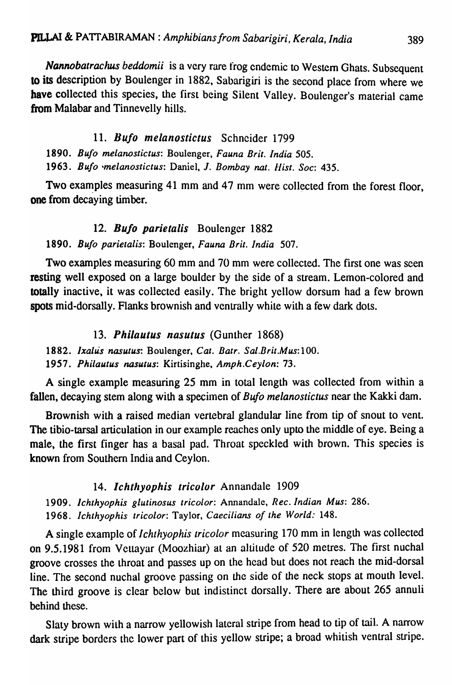*Nannobatrachus beddomii* is a very rare frog endemic to Western Ghats. Subsequent to its description by Boulenger in 1882, Sabarigiri is the second place from where we have collected this species, the first being Silent Valley. Boulenger's material came from Malabar and Tinnevelly hills. Serala, India (389)<br>
Serala, India (389)<br>
Separation 1986 November we<br>
Boulenger's material came<br>
Sons.<br>
Soc: 435.<br>
lected from the forest floor,

### 11. *Bu/o melanostictus* Schneider 1799

*1890. Bufo melanostictus:* Boulenger. *Fauna Brit. India 505.*  1963. Bufo *melanostictus: Daniel, J. Bombay nat. Hist. Soc: 435.* 

Two examples measuring 41 mm and 47 mm were collected from the forest floor, one from decaying timber.

### *12. Bulo parietalis* Boulenger 1882

*1890. Bufo parielalis:* Boulenger. *Fauna Brit. India 507.* 

Two examples measuring 60 mm and 70 mm were collected. The first one was seen resting well exposed on a large boulder by the side of a stream. Lemon-colored and totally inactive, it was collected easily. The bright yellow dorsum had a few brown spots mid-dorsally. Flanks brownish and ventrally white with a few dark dots.

### *13. Philautus nasutus* (Gunther 1868)

*1882. Ixallis nasutus:* Boulenger, *Cat. Batr. Sal.Brit.Mus:100.* 

*1957. Philautus nasutus:* Kirtisinghe. *Amph.Ceylon: 73.* 

A single example measuring 25 mm in total length was collected from within a fallen, decaying stem along with a specimen of *Bufo melanostictus* near the Kakki dam.

Brownish with a raised median verlebral glandular line from tip of snout to vent. The tibio-tarsal articulation in our example reaches only upto the middle of eye. Being a male, the first finger has a basal pad. Throat speckled with brown. This species is known from Southern India and Ceylon.

### *14. Ichtllyophis tricolor* Annandale 1909

*1909. Ichthyophis glutinosus tricolor:* Annandale. *Rec. Indian Mus: 286.*  1968. Ichthyophis tricolor: Taylor, Caecilians of the World: 148.

A single example of *I chthyophis tricolor* measuring 170 mm in length was collected on 9.5.1981 from Vettayar (Moozhiar) al an altitude of 520 metres. The first nuchal groove crosses the throat and passes up on the head but does not reach the mid-dorsal line. The second nuchal groove passing on the side of the neck stops at mouth level. The third groove is clear below but indistinct dorsally. There are about 265 annuli behind these.

Slaty brown with a narrow yellowish lateral stripe from head to tip of tail. A narrow dark stripe borders the lower part of this yellow stripe; a broad whitish ventral stripe.